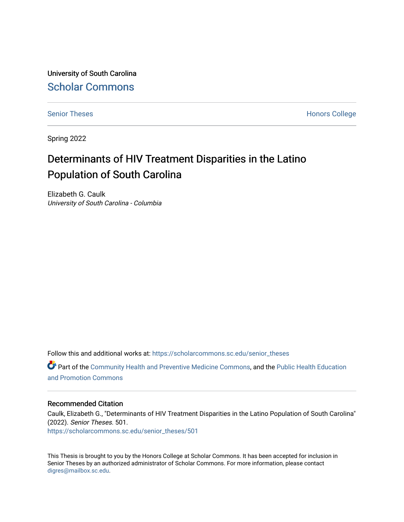University of South Carolina [Scholar Commons](https://scholarcommons.sc.edu/) 

[Senior Theses](https://scholarcommons.sc.edu/senior_theses) **Honors College** Honors College

Spring 2022

# Determinants of HIV Treatment Disparities in the Latino Population of South Carolina

Elizabeth G. Caulk University of South Carolina - Columbia

Follow this and additional works at: [https://scholarcommons.sc.edu/senior\\_theses](https://scholarcommons.sc.edu/senior_theses?utm_source=scholarcommons.sc.edu%2Fsenior_theses%2F501&utm_medium=PDF&utm_campaign=PDFCoverPages) 

Part of the [Community Health and Preventive Medicine Commons](http://network.bepress.com/hgg/discipline/744?utm_source=scholarcommons.sc.edu%2Fsenior_theses%2F501&utm_medium=PDF&utm_campaign=PDFCoverPages), and the [Public Health Education](http://network.bepress.com/hgg/discipline/743?utm_source=scholarcommons.sc.edu%2Fsenior_theses%2F501&utm_medium=PDF&utm_campaign=PDFCoverPages) [and Promotion Commons](http://network.bepress.com/hgg/discipline/743?utm_source=scholarcommons.sc.edu%2Fsenior_theses%2F501&utm_medium=PDF&utm_campaign=PDFCoverPages)

#### Recommended Citation

Caulk, Elizabeth G., "Determinants of HIV Treatment Disparities in the Latino Population of South Carolina" (2022). Senior Theses. 501. [https://scholarcommons.sc.edu/senior\\_theses/501](https://scholarcommons.sc.edu/senior_theses/501?utm_source=scholarcommons.sc.edu%2Fsenior_theses%2F501&utm_medium=PDF&utm_campaign=PDFCoverPages) 

This Thesis is brought to you by the Honors College at Scholar Commons. It has been accepted for inclusion in Senior Theses by an authorized administrator of Scholar Commons. For more information, please contact [digres@mailbox.sc.edu](mailto:digres@mailbox.sc.edu).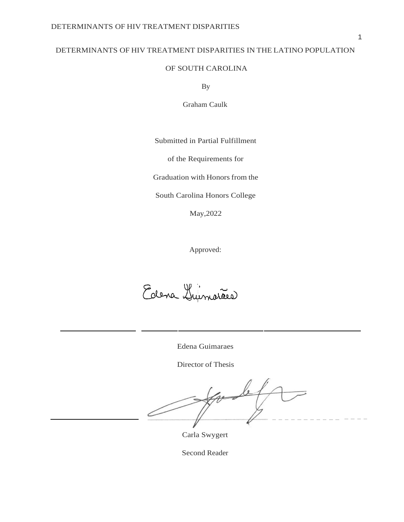### DETERMINANTS OF HIV TREATMENT DISPARITIES IN THE LATINO POPULATION

### OF SOUTH CAROLINA

By

Graham Caulk

Submitted in Partial Fulfillment

of the Requirements for

Graduation with Honors from the

South Carolina Honors College

May,2022

Approved:

Edena Guimarães

Edena Guimaraes

Director of Thesis

forde

Carla Swygert

Second Reader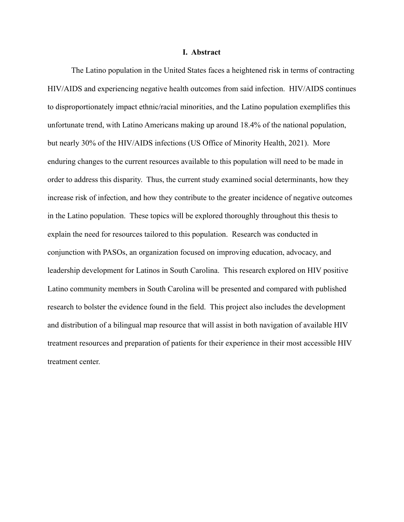#### **I. Abstract**

The Latino population in the United States faces a heightened risk in terms of contracting HIV/AIDS and experiencing negative health outcomes from said infection. HIV/AIDS continues to disproportionately impact ethnic/racial minorities, and the Latino population exemplifies this unfortunate trend, with Latino Americans making up around 18.4% of the national population, but nearly 30% of the HIV/AIDS infections (US Office of Minority Health, 2021). More enduring changes to the current resources available to this population will need to be made in order to address this disparity. Thus, the current study examined social determinants, how they increase risk of infection, and how they contribute to the greater incidence of negative outcomes in the Latino population. These topics will be explored thoroughly throughout this thesis to explain the need for resources tailored to this population. Research was conducted in conjunction with PASOs, an organization focused on improving education, advocacy, and leadership development for Latinos in South Carolina. This research explored on HIV positive Latino community members in South Carolina will be presented and compared with published research to bolster the evidence found in the field. This project also includes the development and distribution of a bilingual map resource that will assist in both navigation of available HIV treatment resources and preparation of patients for their experience in their most accessible HIV treatment center.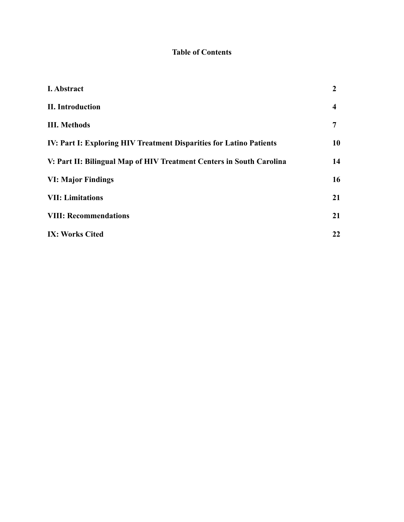## **Table of Contents**

| I. Abstract                                                          | $\overline{2}$          |
|----------------------------------------------------------------------|-------------------------|
| <b>II.</b> Introduction                                              | $\overline{\mathbf{4}}$ |
| <b>III. Methods</b>                                                  | 7                       |
| IV: Part I: Exploring HIV Treatment Disparities for Latino Patients  | 10                      |
| V: Part II: Bilingual Map of HIV Treatment Centers in South Carolina | 14                      |
| <b>VI: Major Findings</b>                                            | 16                      |
| <b>VII: Limitations</b>                                              | 21                      |
| <b>VIII: Recommendations</b>                                         | 21                      |
| <b>IX: Works Cited</b>                                               | 22                      |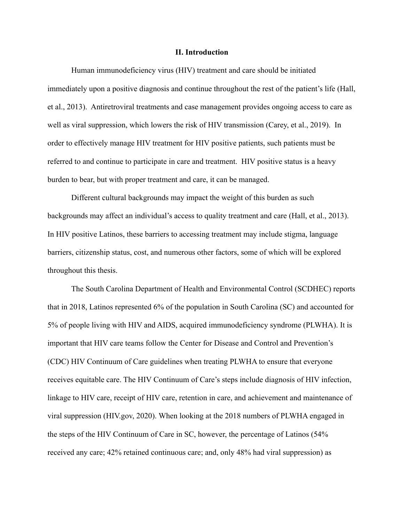#### **II. Introduction**

Human immunodeficiency virus (HIV) treatment and care should be initiated immediately upon a positive diagnosis and continue throughout the rest of the patient's life (Hall, et al., 2013). Antiretroviral treatments and case management provides ongoing access to care as well as viral suppression, which lowers the risk of HIV transmission (Carey, et al., 2019). In order to effectively manage HIV treatment for HIV positive patients, such patients must be referred to and continue to participate in care and treatment. HIV positive status is a heavy burden to bear, but with proper treatment and care, it can be managed.

Different cultural backgrounds may impact the weight of this burden as such backgrounds may affect an individual's access to quality treatment and care (Hall, et al., 2013). In HIV positive Latinos, these barriers to accessing treatment may include stigma, language barriers, citizenship status, cost, and numerous other factors, some of which will be explored throughout this thesis.

The South Carolina Department of Health and Environmental Control (SCDHEC) reports that in 2018, Latinos represented 6% of the population in South Carolina (SC) and accounted for 5% of people living with HIV and AIDS, acquired immunodeficiency syndrome (PLWHA). It is important that HIV care teams follow the Center for Disease and Control and Prevention's (CDC) HIV Continuum of Care guidelines when treating PLWHA to ensure that everyone receives equitable care. The HIV Continuum of Care's steps include diagnosis of HIV infection, linkage to HIV care, receipt of HIV care, retention in care, and achievement and maintenance of viral suppression (HIV.gov, 2020). When looking at the 2018 numbers of PLWHA engaged in the steps of the HIV Continuum of Care in SC, however, the percentage of Latinos (54% received any care; 42% retained continuous care; and, only 48% had viral suppression) as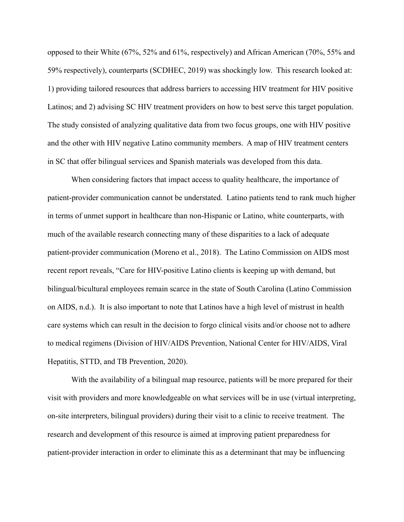opposed to their White (67%, 52% and 61%, respectively) and African American (70%, 55% and 59% respectively), counterparts (SCDHEC, 2019) was shockingly low. This research looked at: 1) providing tailored resources that address barriers to accessing HIV treatment for HIV positive Latinos; and 2) advising SC HIV treatment providers on how to best serve this target population. The study consisted of analyzing qualitative data from two focus groups, one with HIV positive and the other with HIV negative Latino community members. A map of HIV treatment centers in SC that offer bilingual services and Spanish materials was developed from this data.

When considering factors that impact access to quality healthcare, the importance of patient-provider communication cannot be understated. Latino patients tend to rank much higher in terms of unmet support in healthcare than non-Hispanic or Latino, white counterparts, with much of the available research connecting many of these disparities to a lack of adequate patient-provider communication (Moreno et al., 2018). The Latino Commission on AIDS most recent report reveals, "Care for HIV-positive Latino clients is keeping up with demand, but bilingual/bicultural employees remain scarce in the state of South Carolina (Latino Commission on AIDS, n.d.). It is also important to note that Latinos have a high level of mistrust in health care systems which can result in the decision to forgo clinical visits and/or choose not to adhere to medical regimens (Division of HIV/AIDS Prevention, National Center for HIV/AIDS, Viral Hepatitis, STTD, and TB Prevention, 2020).

With the availability of a bilingual map resource, patients will be more prepared for their visit with providers and more knowledgeable on what services will be in use (virtual interpreting, on-site interpreters, bilingual providers) during their visit to a clinic to receive treatment. The research and development of this resource is aimed at improving patient preparedness for patient-provider interaction in order to eliminate this as a determinant that may be influencing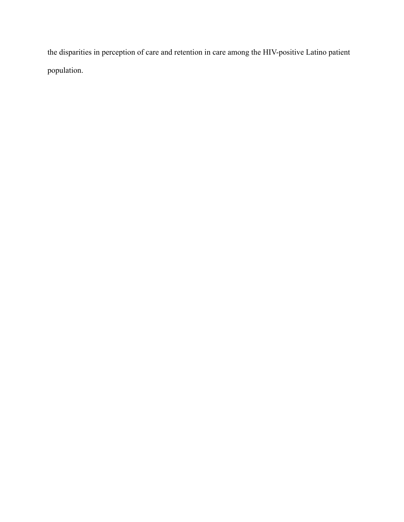the disparities in perception of care and retention in care among the HIV-positive Latino patient population.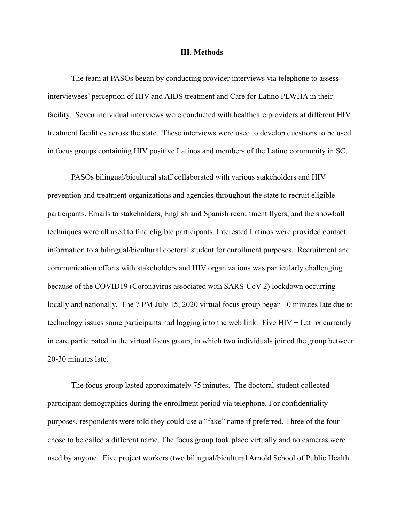#### **III. Methods**

The team at PASOs began by conducting provider interviews via telephone to assess interviewees' perception of HIV and AIDS treatment and Care for Latino PLWHA in their facility. Seven individual interviews were conducted with healthcare providers at different HIV treatment facilities across the state. These interviews were used to develop questions to be used in focus groups containing HIV positive Latinos and members of the Latino community in SC.

PASOs bilingual/bicultural staff collaborated with various stakeholders and HIV prevention and treatment organizations and agencies throughout the state to recruit eligible participants. Emails to stakeholders, English and Spanish recruitment flyers, and the snowball techniques were all used to find eligible participants. Interested Latinos were provided contact information to a bilingual/bicultural doctoral student for enrollment purposes. Recruitment and communication efforts with stakeholders and HIV organizations was particularly challenging because of the COVID19 (Coronavirus associated with SARS-CoV-2) lockdown occurring locally and nationally. The 7 PM July 15, 2020 virtual focus group began 10 minutes late due to technology issues some participants had logging into the web link. Five HIV + Latinx currently in care participated in the virtual focus group, in which two individuals joined the group between 20-30 minutes late.

The focus group lasted approximately 75 minutes. The doctoral student collected participant demographics during the enrollment period via telephone. For confidentiality purposes, respondents were told they could use a "fake" name if preferred. Three of the four chose to be called a different name. The focus group took place virtually and no cameras were used by anyone. Five project workers (two bilingual/bicultural Arnold School of Public Health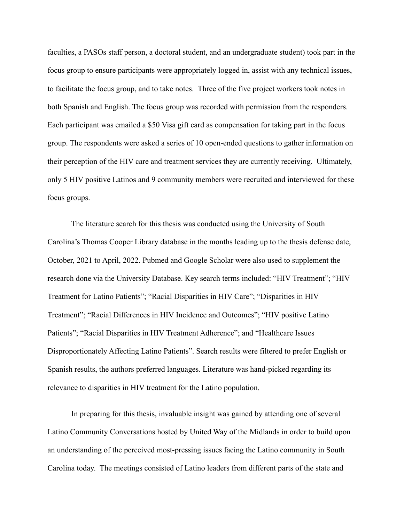faculties, a PASOs staff person, a doctoral student, and an undergraduate student) took part in the focus group to ensure participants were appropriately logged in, assist with any technical issues, to facilitate the focus group, and to take notes. Three of the five project workers took notes in both Spanish and English. The focus group was recorded with permission from the responders. Each participant was emailed a \$50 Visa gift card as compensation for taking part in the focus group. The respondents were asked a series of 10 open-ended questions to gather information on their perception of the HIV care and treatment services they are currently receiving. Ultimately, only 5 HIV positive Latinos and 9 community members were recruited and interviewed for these focus groups.

The literature search for this thesis was conducted using the University of South Carolina's Thomas Cooper Library database in the months leading up to the thesis defense date, October, 2021 to April, 2022. Pubmed and Google Scholar were also used to supplement the research done via the University Database. Key search terms included: "HIV Treatment"; "HIV Treatment for Latino Patients"; "Racial Disparities in HIV Care"; "Disparities in HIV Treatment"; "Racial Differences in HIV Incidence and Outcomes"; "HIV positive Latino Patients"; "Racial Disparities in HIV Treatment Adherence"; and "Healthcare Issues Disproportionately Affecting Latino Patients". Search results were filtered to prefer English or Spanish results, the authors preferred languages. Literature was hand-picked regarding its relevance to disparities in HIV treatment for the Latino population.

In preparing for this thesis, invaluable insight was gained by attending one of several Latino Community Conversations hosted by United Way of the Midlands in order to build upon an understanding of the perceived most-pressing issues facing the Latino community in South Carolina today. The meetings consisted of Latino leaders from different parts of the state and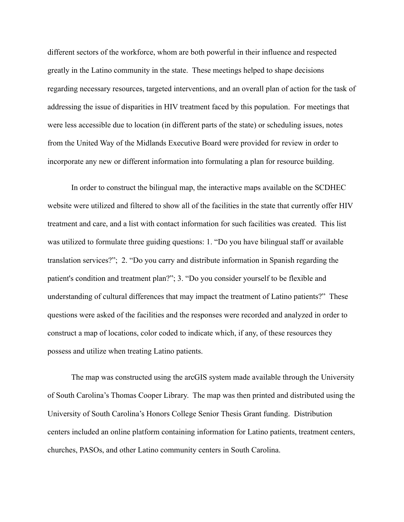different sectors of the workforce, whom are both powerful in their influence and respected greatly in the Latino community in the state. These meetings helped to shape decisions regarding necessary resources, targeted interventions, and an overall plan of action for the task of addressing the issue of disparities in HIV treatment faced by this population. For meetings that were less accessible due to location (in different parts of the state) or scheduling issues, notes from the United Way of the Midlands Executive Board were provided for review in order to incorporate any new or different information into formulating a plan for resource building.

In order to construct the bilingual map, the interactive maps available on the SCDHEC website were utilized and filtered to show all of the facilities in the state that currently offer HIV treatment and care, and a list with contact information for such facilities was created. This list was utilized to formulate three guiding questions: 1. "Do you have bilingual staff or available translation services?"; 2. "Do you carry and distribute information in Spanish regarding the patient's condition and treatment plan?"; 3. "Do you consider yourself to be flexible and understanding of cultural differences that may impact the treatment of Latino patients?" These questions were asked of the facilities and the responses were recorded and analyzed in order to construct a map of locations, color coded to indicate which, if any, of these resources they possess and utilize when treating Latino patients.

The map was constructed using the arcGIS system made available through the University of South Carolina's Thomas Cooper Library. The map was then printed and distributed using the University of South Carolina's Honors College Senior Thesis Grant funding. Distribution centers included an online platform containing information for Latino patients, treatment centers, churches, PASOs, and other Latino community centers in South Carolina.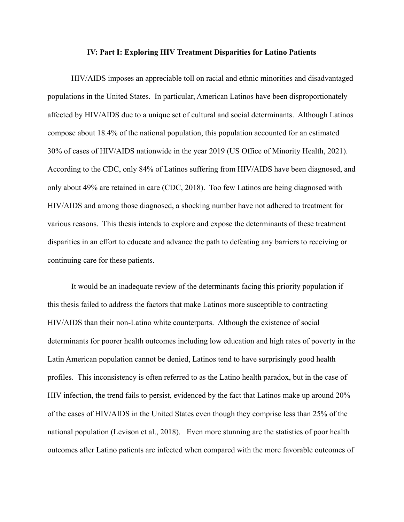#### **IV: Part I: Exploring HIV Treatment Disparities for Latino Patients**

HIV/AIDS imposes an appreciable toll on racial and ethnic minorities and disadvantaged populations in the United States. In particular, American Latinos have been disproportionately affected by HIV/AIDS due to a unique set of cultural and social determinants. Although Latinos compose about 18.4% of the national population, this population accounted for an estimated 30% of cases of HIV/AIDS nationwide in the year 2019 (US Office of Minority Health, 2021). According to the CDC, only 84% of Latinos suffering from HIV/AIDS have been diagnosed, and only about 49% are retained in care (CDC, 2018). Too few Latinos are being diagnosed with HIV/AIDS and among those diagnosed, a shocking number have not adhered to treatment for various reasons. This thesis intends to explore and expose the determinants of these treatment disparities in an effort to educate and advance the path to defeating any barriers to receiving or continuing care for these patients.

It would be an inadequate review of the determinants facing this priority population if this thesis failed to address the factors that make Latinos more susceptible to contracting HIV/AIDS than their non-Latino white counterparts. Although the existence of social determinants for poorer health outcomes including low education and high rates of poverty in the Latin American population cannot be denied, Latinos tend to have surprisingly good health profiles. This inconsistency is often referred to as the Latino health paradox, but in the case of HIV infection, the trend fails to persist, evidenced by the fact that Latinos make up around 20% of the cases of HIV/AIDS in the United States even though they comprise less than 25% of the national population (Levison et al., 2018). Even more stunning are the statistics of poor health outcomes after Latino patients are infected when compared with the more favorable outcomes of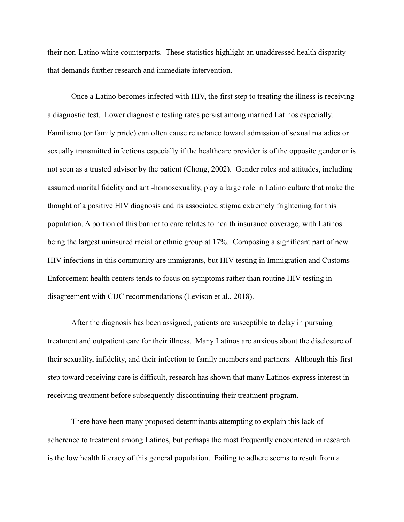their non-Latino white counterparts. These statistics highlight an unaddressed health disparity that demands further research and immediate intervention.

Once a Latino becomes infected with HIV, the first step to treating the illness is receiving a diagnostic test. Lower diagnostic testing rates persist among married Latinos especially. Familismo (or family pride) can often cause reluctance toward admission of sexual maladies or sexually transmitted infections especially if the healthcare provider is of the opposite gender or is not seen as a trusted advisor by the patient (Chong, 2002). Gender roles and attitudes, including assumed marital fidelity and anti-homosexuality, play a large role in Latino culture that make the thought of a positive HIV diagnosis and its associated stigma extremely frightening for this population. A portion of this barrier to care relates to health insurance coverage, with Latinos being the largest uninsured racial or ethnic group at 17%. Composing a significant part of new HIV infections in this community are immigrants, but HIV testing in Immigration and Customs Enforcement health centers tends to focus on symptoms rather than routine HIV testing in disagreement with CDC recommendations (Levison et al., 2018).

After the diagnosis has been assigned, patients are susceptible to delay in pursuing treatment and outpatient care for their illness. Many Latinos are anxious about the disclosure of their sexuality, infidelity, and their infection to family members and partners. Although this first step toward receiving care is difficult, research has shown that many Latinos express interest in receiving treatment before subsequently discontinuing their treatment program.

There have been many proposed determinants attempting to explain this lack of adherence to treatment among Latinos, but perhaps the most frequently encountered in research is the low health literacy of this general population. Failing to adhere seems to result from a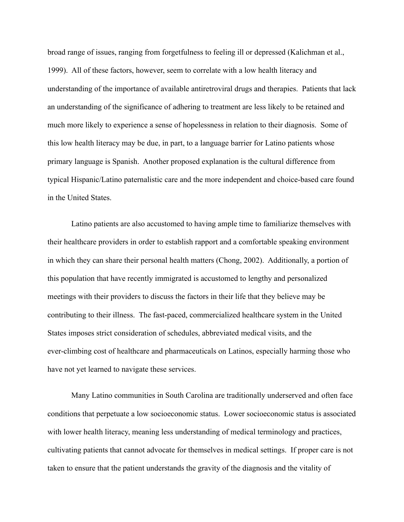broad range of issues, ranging from forgetfulness to feeling ill or depressed (Kalichman et al., 1999). All of these factors, however, seem to correlate with a low health literacy and understanding of the importance of available antiretroviral drugs and therapies. Patients that lack an understanding of the significance of adhering to treatment are less likely to be retained and much more likely to experience a sense of hopelessness in relation to their diagnosis. Some of this low health literacy may be due, in part, to a language barrier for Latino patients whose primary language is Spanish. Another proposed explanation is the cultural difference from typical Hispanic/Latino paternalistic care and the more independent and choice-based care found in the United States.

Latino patients are also accustomed to having ample time to familiarize themselves with their healthcare providers in order to establish rapport and a comfortable speaking environment in which they can share their personal health matters (Chong, 2002). Additionally, a portion of this population that have recently immigrated is accustomed to lengthy and personalized meetings with their providers to discuss the factors in their life that they believe may be contributing to their illness. The fast-paced, commercialized healthcare system in the United States imposes strict consideration of schedules, abbreviated medical visits, and the ever-climbing cost of healthcare and pharmaceuticals on Latinos, especially harming those who have not yet learned to navigate these services.

Many Latino communities in South Carolina are traditionally underserved and often face conditions that perpetuate a low socioeconomic status. Lower socioeconomic status is associated with lower health literacy, meaning less understanding of medical terminology and practices, cultivating patients that cannot advocate for themselves in medical settings. If proper care is not taken to ensure that the patient understands the gravity of the diagnosis and the vitality of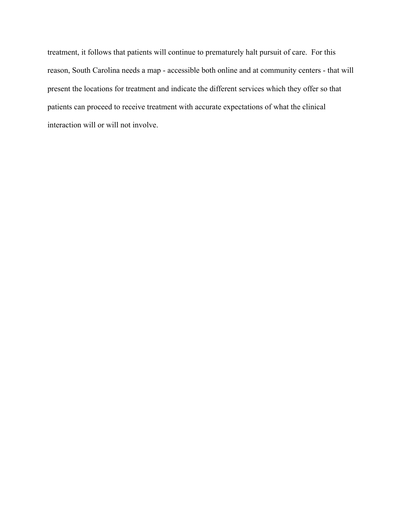treatment, it follows that patients will continue to prematurely halt pursuit of care. For this reason, South Carolina needs a map - accessible both online and at community centers - that will present the locations for treatment and indicate the different services which they offer so that patients can proceed to receive treatment with accurate expectations of what the clinical interaction will or will not involve.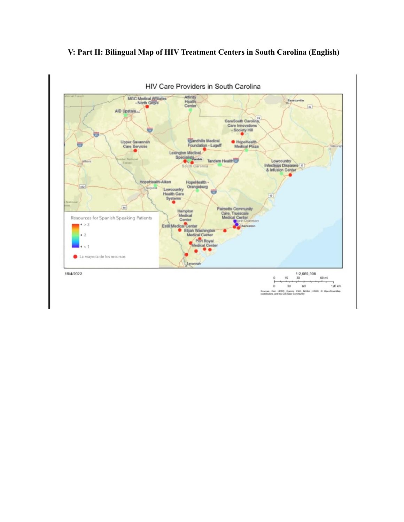#### HIV Care Providers in South Carolina MGC Medical Affinates<br>- North Grove Affinit Health<br>Center Fayetteville  $\boxed{24}$ AID Upstate. CareSouth Carolina Care Innovations<br>- Society Hill HopeHealth Upper Savannah<br>Care Services Sandhills Medical Foundation - Lugoff Lexington Medical Spe sts Lowcountry<br>Infectious Diseases **Tandem Health**  $\overline{v}$ HopeHealth-Aiken HopeHealth -Orangeburg 402 Lowcountry<br>Health Care  $\ddot{\mathbf{e}}$ Systems  $\boxed{m}$ Palmetto Communi<br>Care, Truesdale<br>Medical Center Modical Resources for Spanish Speaking Patients Center  $\epsilon > 3$ Estill Medical Center Elijah Washington  $\cdot$  2 Medical Center dical C La mayoría de los recursos  $1:2,669,398$ 19/4/2022 60 mi 15  $120 km$  $30$  $60$ o .<br>NEDNI: Earl. HERE. Qarmin, FAO, NOAA. 1<br>Hiftsdors, and the GIS User Community

### **V: Part II: Bilingual Map of HIV Treatment Centers in South Carolina (English)**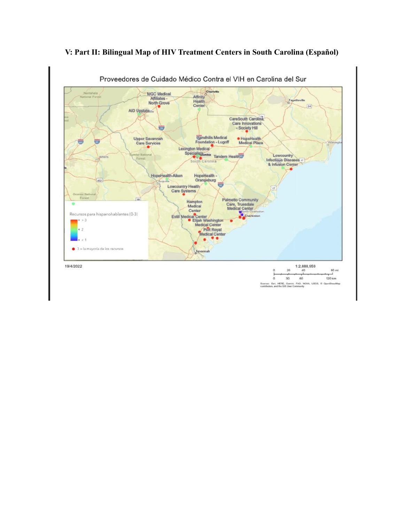

### **V: Part II: Bilingual Map of HIV Treatment Centers in South Carolina (Español)**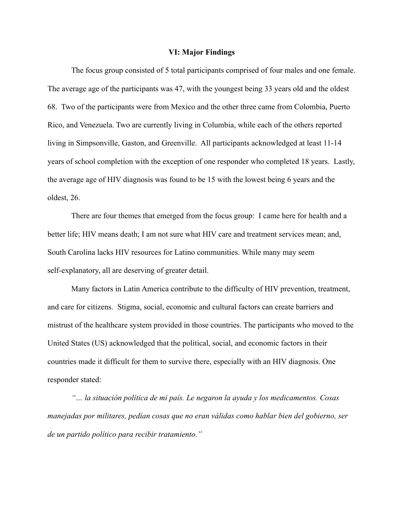#### **VI: Major Findings**

The focus group consisted of 5 total participants comprised of four males and one female. The average age of the participants was 47, with the youngest being 33 years old and the oldest 68. Two of the participants were from Mexico and the other three came from Colombia, Puerto Rico, and Venezuela. Two are currently living in Columbia, while each of the others reported living in Simpsonville, Gaston, and Greenville. All participants acknowledged at least 11-14 years of school completion with the exception of one responder who completed 18 years. Lastly, the average age of HIV diagnosis was found to be 15 with the lowest being 6 years and the oldest, 26.

There are four themes that emerged from the focus group: I came here for health and a better life; HIV means death; I am not sure what HIV care and treatment services mean; and, South Carolina lacks HIV resources for Latino communities. While many may seem self-explanatory, all are deserving of greater detail.

Many factors in Latin America contribute to the difficulty of HIV prevention, treatment, and care for citizens. Stigma, social, economic and cultural factors can create barriers and mistrust of the healthcare system provided in those countries. The participants who moved to the United States (US) acknowledged that the political, social, and economic factors in their countries made it difficult for them to survive there, especially with an HIV diagnosis. One responder stated:

*"… la situación política de mi país. Le negaron la ayuda y los medicamentos. Cosas manejadas por militares, pedían cosas que no eran válidas como hablar bien del gobierno, ser de un partido político para recibir tratamiento."*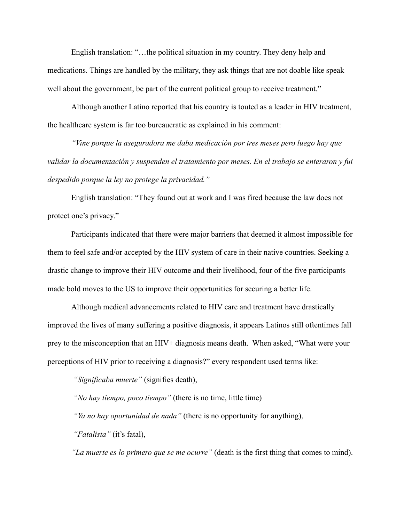English translation: "…the political situation in my country. They deny help and medications. Things are handled by the military, they ask things that are not doable like speak well about the government, be part of the current political group to receive treatment."

Although another Latino reported that his country is touted as a leader in HIV treatment, the healthcare system is far too bureaucratic as explained in his comment:

*"Vine porque la aseguradora me daba medicación por tres meses pero luego hay que validar la documentación y suspenden el tratamiento por meses. En el trabajo se enteraron y fui despedido porque la ley no protege la privacidad."*

English translation: "They found out at work and I was fired because the law does not protect one's privacy."

Participants indicated that there were major barriers that deemed it almost impossible for them to feel safe and/or accepted by the HIV system of care in their native countries. Seeking a drastic change to improve their HIV outcome and their livelihood, four of the five participants made bold moves to the US to improve their opportunities for securing a better life.

Although medical advancements related to HIV care and treatment have drastically improved the lives of many suffering a positive diagnosis, it appears Latinos still oftentimes fall prey to the misconception that an HIV+ diagnosis means death. When asked, "What were your perceptions of HIV prior to receiving a diagnosis?" every respondent used terms like:

*"Significaba muerte"* (signifies death),

*"No hay tiempo, poco tiempo"* (there is no time, little time)

*"Ya no hay oportunidad de nada"* (there is no opportunity for anything),

*"Fatalista"* (it's fatal),

*"La muerte es lo primero que se me ocurre"* (death is the first thing that comes to mind).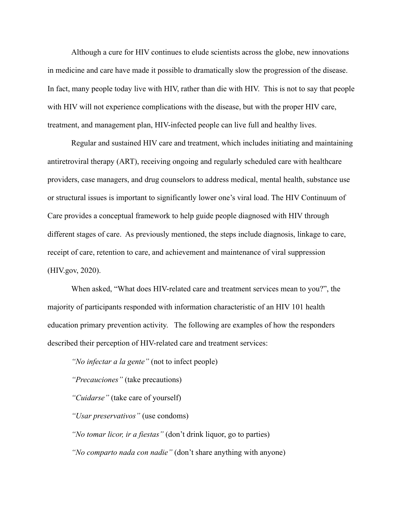Although a cure for HIV continues to elude scientists across the globe, new innovations in medicine and care have made it possible to dramatically slow the progression of the disease. In fact, many people today live with HIV, rather than die with HIV. This is not to say that people with HIV will not experience complications with the disease, but with the proper HIV care, treatment, and management plan, HIV-infected people can live full and healthy lives.

Regular and sustained HIV care and treatment, which includes initiating and maintaining antiretroviral therapy (ART), receiving ongoing and regularly scheduled care with healthcare providers, case managers, and drug counselors to address medical, mental health, substance use or structural issues is important to significantly lower one's viral load. The HIV Continuum of Care provides a conceptual framework to help guide people diagnosed with HIV through different stages of care. As previously mentioned, the steps include diagnosis, linkage to care, receipt of care, retention to care, and achievement and maintenance of viral suppression (HIV.gov, 2020).

When asked, "What does HIV-related care and treatment services mean to you?", the majority of participants responded with information characteristic of an HIV 101 health education primary prevention activity. The following are examples of how the responders described their perception of HIV-related care and treatment services:

*"No infectar a la gente"* (not to infect people)

*"Precauciones"* (take precautions)

*"Cuidarse"* (take care of yourself)

*"Usar preservativos"* (use condoms)

*"No tomar licor, ir a fiestas"* (don't drink liquor, go to parties)

*"No comparto nada con nadie"* (don't share anything with anyone)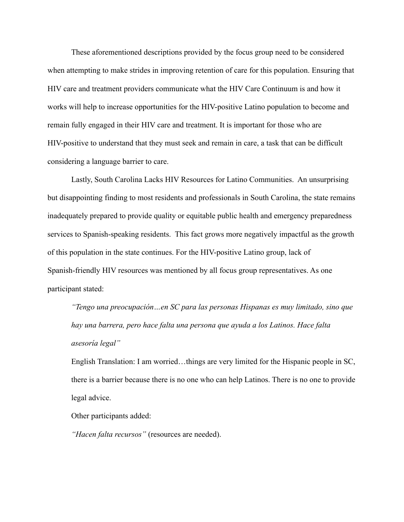These aforementioned descriptions provided by the focus group need to be considered when attempting to make strides in improving retention of care for this population. Ensuring that HIV care and treatment providers communicate what the HIV Care Continuum is and how it works will help to increase opportunities for the HIV-positive Latino population to become and remain fully engaged in their HIV care and treatment. It is important for those who are HIV-positive to understand that they must seek and remain in care, a task that can be difficult considering a language barrier to care.

Lastly, South Carolina Lacks HIV Resources for Latino Communities. An unsurprising but disappointing finding to most residents and professionals in South Carolina, the state remains inadequately prepared to provide quality or equitable public health and emergency preparedness services to Spanish-speaking residents. This fact grows more negatively impactful as the growth of this population in the state continues. For the HIV-positive Latino group, lack of Spanish-friendly HIV resources was mentioned by all focus group representatives. As one participant stated:

*"Tengo una preocupación…en SC para las personas Hispanas es muy limitado, sino que hay una barrera, pero hace falta una persona que ayuda a los Latinos. Hace falta asesoría legal"*

English Translation: I am worried…things are very limited for the Hispanic people in SC, there is a barrier because there is no one who can help Latinos. There is no one to provide legal advice.

Other participants added:

*"Hacen falta recursos"* (resources are needed).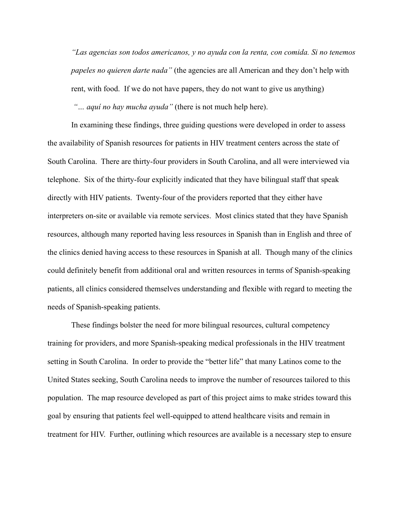*"Las agencias son todos americanos, y no ayuda con la renta, con comida. Si no tenemos papeles no quieren darte nada"* (the agencies are all American and they don't help with rent, with food. If we do not have papers, they do not want to give us anything) *"… aquí no hay mucha ayuda"* (there is not much help here).

In examining these findings, three guiding questions were developed in order to assess the availability of Spanish resources for patients in HIV treatment centers across the state of South Carolina. There are thirty-four providers in South Carolina, and all were interviewed via telephone. Six of the thirty-four explicitly indicated that they have bilingual staff that speak directly with HIV patients. Twenty-four of the providers reported that they either have interpreters on-site or available via remote services. Most clinics stated that they have Spanish resources, although many reported having less resources in Spanish than in English and three of the clinics denied having access to these resources in Spanish at all. Though many of the clinics could definitely benefit from additional oral and written resources in terms of Spanish-speaking patients, all clinics considered themselves understanding and flexible with regard to meeting the needs of Spanish-speaking patients.

These findings bolster the need for more bilingual resources, cultural competency training for providers, and more Spanish-speaking medical professionals in the HIV treatment setting in South Carolina. In order to provide the "better life" that many Latinos come to the United States seeking, South Carolina needs to improve the number of resources tailored to this population. The map resource developed as part of this project aims to make strides toward this goal by ensuring that patients feel well-equipped to attend healthcare visits and remain in treatment for HIV. Further, outlining which resources are available is a necessary step to ensure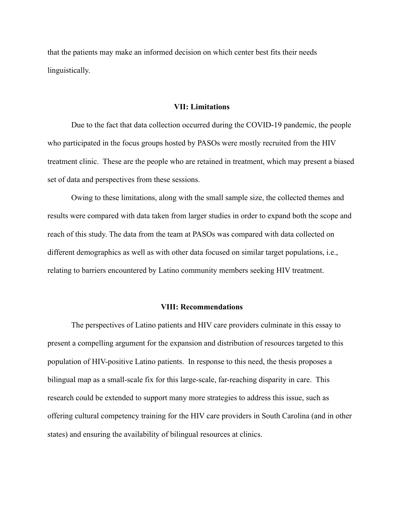that the patients may make an informed decision on which center best fits their needs linguistically.

#### **VII: Limitations**

Due to the fact that data collection occurred during the COVID-19 pandemic, the people who participated in the focus groups hosted by PASOs were mostly recruited from the HIV treatment clinic. These are the people who are retained in treatment, which may present a biased set of data and perspectives from these sessions.

Owing to these limitations, along with the small sample size, the collected themes and results were compared with data taken from larger studies in order to expand both the scope and reach of this study. The data from the team at PASOs was compared with data collected on different demographics as well as with other data focused on similar target populations, i.e., relating to barriers encountered by Latino community members seeking HIV treatment.

#### **VIII: Recommendations**

The perspectives of Latino patients and HIV care providers culminate in this essay to present a compelling argument for the expansion and distribution of resources targeted to this population of HIV-positive Latino patients. In response to this need, the thesis proposes a bilingual map as a small-scale fix for this large-scale, far-reaching disparity in care. This research could be extended to support many more strategies to address this issue, such as offering cultural competency training for the HIV care providers in South Carolina (and in other states) and ensuring the availability of bilingual resources at clinics.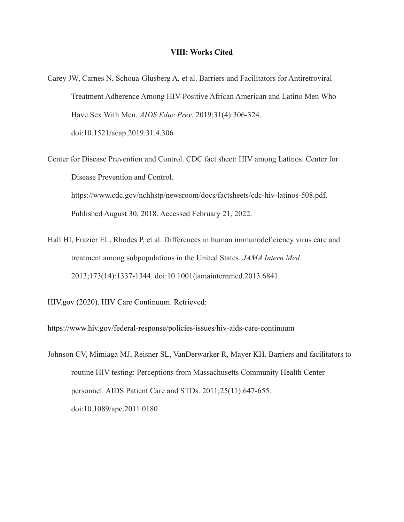#### **VIII: Works Cited**

- Carey JW, Carnes N, Schoua-Glusberg A, et al. Barriers and Facilitators for Antiretroviral Treatment Adherence Among HIV-Positive African American and Latino Men Who Have Sex With Men. *AIDS Educ Prev*. 2019;31(4):306-324. doi:10.1521/aeap.2019.31.4.306
- Center for Disease Prevention and Control. CDC fact sheet: HIV among Latinos. Center for Disease Prevention and Control. https://www.cdc.gov/nchhstp/newsroom/docs/factsheets/cdc-hiv-latinos-508.pdf. Published August 30, 2018. Accessed February 21, 2022.
- Hall HI, Frazier EL, Rhodes P, et al. Differences in human immunodeficiency virus care and treatment among subpopulations in the United States. *JAMA Intern Med*. 2013;173(14):1337-1344. doi:10.1001/jamainternmed.2013.6841

HIV.gov (2020). HIV Care Continuum. Retrieved:

https://www.hiv.gov/federal-response/policies-issues/hiv-aids-care-continuum

Johnson CV, Mimiaga MJ, Reisner SL, VanDerwarker R, Mayer KH. Barriers and facilitators to routine HIV testing: Perceptions from Massachusetts Community Health Center personnel. AIDS Patient Care and STDs. 2011;25(11):647-655. doi:10.1089/apc.2011.0180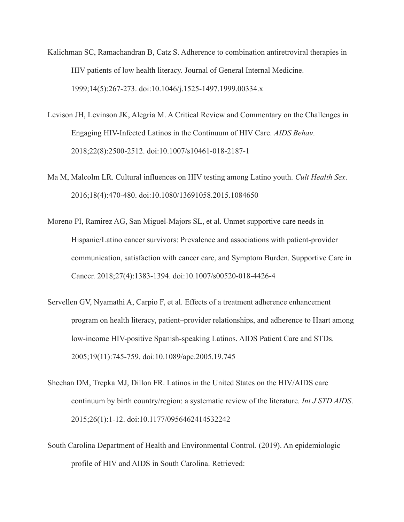- Kalichman SC, Ramachandran B, Catz S. Adherence to combination antiretroviral therapies in HIV patients of low health literacy. Journal of General Internal Medicine. 1999;14(5):267-273. doi:10.1046/j.1525-1497.1999.00334.x
- Levison JH, Levinson JK, Alegría M. A Critical Review and Commentary on the Challenges in Engaging HIV-Infected Latinos in the Continuum of HIV Care. *AIDS Behav*. 2018;22(8):2500-2512. doi:10.1007/s10461-018-2187-1
- Ma M, Malcolm LR. Cultural influences on HIV testing among Latino youth. *Cult Health Sex*. 2016;18(4):470-480. doi:10.1080/13691058.2015.1084650
- Moreno PI, Ramirez AG, San Miguel-Majors SL, et al. Unmet supportive care needs in Hispanic/Latino cancer survivors: Prevalence and associations with patient-provider communication, satisfaction with cancer care, and Symptom Burden. Supportive Care in Cancer. 2018;27(4):1383-1394. doi:10.1007/s00520-018-4426-4
- Servellen GV, Nyamathi A, Carpio F, et al. Effects of a treatment adherence enhancement program on health literacy, patient–provider relationships, and adherence to Haart among low-income HIV-positive Spanish-speaking Latinos. AIDS Patient Care and STDs. 2005;19(11):745-759. doi:10.1089/apc.2005.19.745
- Sheehan DM, Trepka MJ, Dillon FR. Latinos in the United States on the HIV/AIDS care continuum by birth country/region: a systematic review of the literature. *Int J STD AIDS*. 2015;26(1):1-12. doi:10.1177/0956462414532242
- South Carolina Department of Health and Environmental Control. (2019). An epidemiologic profile of HIV and AIDS in South Carolina. Retrieved: